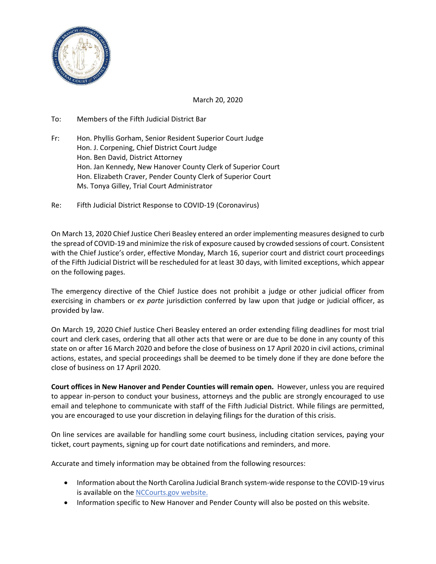

March 20, 2020

- To: Members of the Fifth Judicial District Bar
- Fr: Hon. Phyllis Gorham, Senior Resident Superior Court Judge Hon. J. Corpening, Chief District Court Judge Hon. Ben David, District Attorney Hon. Jan Kennedy, New Hanover County Clerk of Superior Court Hon. Elizabeth Craver, Pender County Clerk of Superior Court Ms. Tonya Gilley, Trial Court Administrator
- Re: Fifth Judicial District Response to COVID-19 (Coronavirus)

On March 13, 2020 Chief Justice Cheri Beasley entered an order implementing measures designed to curb the spread of COVID-19 and minimize the risk of exposure caused by crowded sessions of court. Consistent with the Chief Justice's order, effective Monday, March 16, superior court and district court proceedings of the Fifth Judicial District will be rescheduled for at least 30 days, with limited exceptions, which appear on the following pages.

The emergency directive of the Chief Justice does not prohibit a judge or other judicial officer from exercising in chambers or *ex parte* jurisdiction conferred by law upon that judge or judicial officer, as provided by law.

On March 19, 2020 Chief Justice Cheri Beasley entered an order extending filing deadlines for most trial court and clerk cases, ordering that all other acts that were or are due to be done in any county of this state on or after 16 March 2020 and before the close of business on 17 April 2020 in civil actions, criminal actions, estates, and special proceedings shall be deemed to be timely done if they are done before the close of business on 17 April 2020.

**Court offices in New Hanover and Pender Counties will remain open.** However, unless you are required to appear in-person to conduct your business, attorneys and the public are strongly encouraged to use email and telephone to communicate with staff of the Fifth Judicial District. While filings are permitted, you are encouraged to use your discretion in delaying filings for the duration of this crisis.

On line services are available for handling some court business, including citation services, paying your ticket, court payments, signing up for court date notifications and reminders, and more.

Accurate and timely information may be obtained from the following resources:

- Information about the North Carolina Judicial Branch system-wide response to the COVID-19 virus is available on the [NCCourts.gov website.](https://www.nccourts.gov/news/tag/general-news/updates-on-coronavirus-covid-19)
- Information specific to New Hanover and Pender County will also be posted on this website.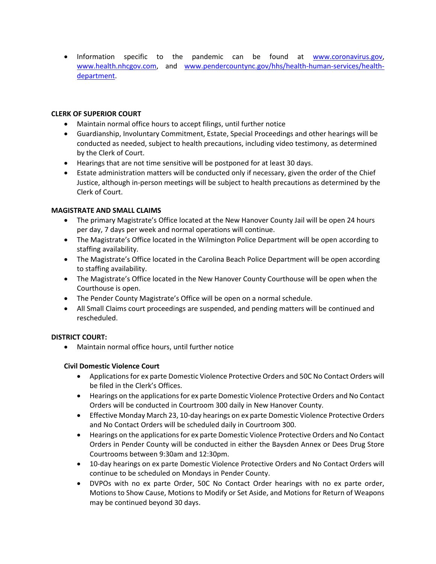• Information specific to the pandemic can be found at [www.coronavirus.gov,](http://www.coronavirus.gov/) [www.health.nhcgov.com,](http://www.health.nhcgov.com/) and [www.pendercountync.gov/hhs/health-human-services/health](http://www.pendercountync.gov/hhs/health-human-services/health-department)[department.](http://www.pendercountync.gov/hhs/health-human-services/health-department)

# **CLERK OF SUPERIOR COURT**

- Maintain normal office hours to accept filings, until further notice
- Guardianship, Involuntary Commitment, Estate, Special Proceedings and other hearings will be conducted as needed, subject to health precautions, including video testimony, as determined by the Clerk of Court.
- Hearings that are not time sensitive will be postponed for at least 30 days.
- Estate administration matters will be conducted only if necessary, given the order of the Chief Justice, although in-person meetings will be subject to health precautions as determined by the Clerk of Court.

## **MAGISTRATE AND SMALL CLAIMS**

- The primary Magistrate's Office located at the New Hanover County Jail will be open 24 hours per day, 7 days per week and normal operations will continue.
- The Magistrate's Office located in the Wilmington Police Department will be open according to staffing availability.
- The Magistrate's Office located in the Carolina Beach Police Department will be open according to staffing availability.
- The Magistrate's Office located in the New Hanover County Courthouse will be open when the Courthouse is open.
- The Pender County Magistrate's Office will be open on a normal schedule.
- All Small Claims court proceedings are suspended, and pending matters will be continued and rescheduled.

## **DISTRICT COURT:**

• Maintain normal office hours, until further notice

## **Civil Domestic Violence Court**

- Applications for ex parte Domestic Violence Protective Orders and 50C No Contact Orders will be filed in the Clerk's Offices.
- Hearings on the applications for ex parte Domestic Violence Protective Orders and No Contact Orders will be conducted in Courtroom 300 daily in New Hanover County.
- Effective Monday March 23, 10-day hearings on ex parte Domestic Violence Protective Orders and No Contact Orders will be scheduled daily in Courtroom 300.
- Hearings on the applications for ex parte Domestic Violence Protective Orders and No Contact Orders in Pender County will be conducted in either the Baysden Annex or Dees Drug Store Courtrooms between 9:30am and 12:30pm.
- 10-day hearings on ex parte Domestic Violence Protective Orders and No Contact Orders will continue to be scheduled on Mondays in Pender County.
- DVPOs with no ex parte Order, 50C No Contact Order hearings with no ex parte order, Motions to Show Cause, Motions to Modify or Set Aside, and Motions for Return of Weapons may be continued beyond 30 days.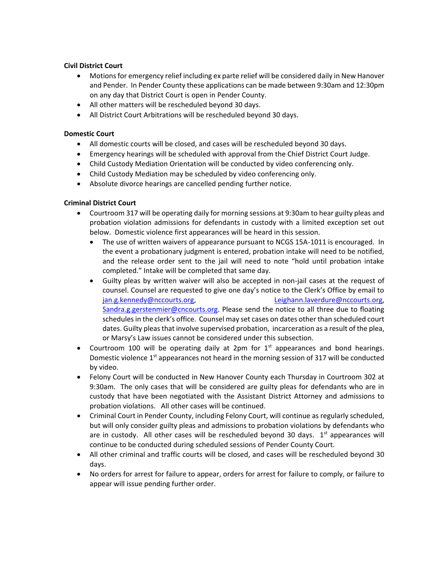## **Civil District Court**

- Motions for emergency relief including ex parte relief will be considered daily in New Hanover and Pender. In Pender County these applications can be made between 9:30am and 12:30pm on any day that District Court is open in Pender County.
- All other matters will be rescheduled beyond 30 days.
- All District Court Arbitrations will be rescheduled beyond 30 days.

## **Domestic Court**

- All domestic courts will be closed, and cases will be rescheduled beyond 30 days.
- Emergency hearings will be scheduled with approval from the Chief District Court Judge.
- Child Custody Mediation Orientation will be conducted by video conferencing only.
- Child Custody Mediation may be scheduled by video conferencing only.
- Absolute divorce hearings are cancelled pending further notice.

## **Criminal District Court**

- Courtroom 317 will be operating daily for morning sessions at 9:30am to hear guilty pleas and probation violation admissions for defendants in custody with a limited exception set out below. Domestic violence first appearances will be heard in this session.
	- The use of written waivers of appearance pursuant to NCGS 15A-1011 is encouraged. In the event a probationary judgment is entered, probation intake will need to be notified, and the release order sent to the jail will need to note "hold until probation intake completed." Intake will be completed that same day.
	- Guilty pleas by written waiver will also be accepted in non-jail cases at the request of counsel. Counsel are requested to give one day's notice to the Clerk's Office by email to [jan.g.kennedy@nccourts.org,](mailto:jan.g.kennedy@nccourts.org) [Leighann.laverdure@nccourts.org,](mailto:Leighann.laverdure@nccourts.org) [Sandra.g.gerstenmier@cncourts.org.](mailto:Sandra.g.gerstenmier@cncourts.org) Please send the notice to all three due to floating schedules in the clerk's office. Counsel may set cases on dates other than scheduled court dates. Guilty pleas that involve supervised probation, incarceration as a result of the plea, or Marsy's Law issues cannot be considered under this subsection.
- Courtroom 100 will be operating daily at  $2pm$  for  $1<sup>st</sup>$  appearances and bond hearings. Domestic violence  $1<sup>st</sup>$  appearances not heard in the morning session of 317 will be conducted by video.
- Felony Court will be conducted in New Hanover County each Thursday in Courtroom 302 at 9:30am. The only cases that will be considered are guilty pleas for defendants who are in custody that have been negotiated with the Assistant District Attorney and admissions to probation violations. All other cases will be continued.
- Criminal Court in Pender County, including Felony Court, will continue as regularly scheduled, but will only consider guilty pleas and admissions to probation violations by defendants who are in custody. All other cases will be rescheduled beyond 30 days. 1<sup>st</sup> appearances will continue to be conducted during scheduled sessions of Pender County Court.
- All other criminal and traffic courts will be closed, and cases will be rescheduled beyond 30 days.
- No orders for arrest for failure to appear, orders for arrest for failure to comply, or failure to appear will issue pending further order.